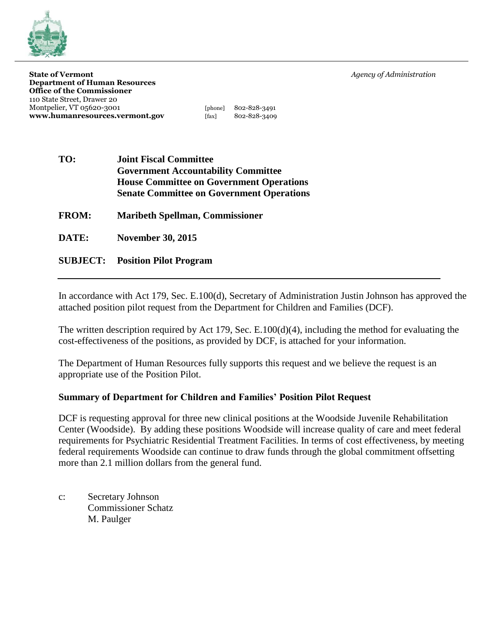

**State of Vermont** *Agency of Administration Agency of Administration* **Department of Human Resources Office of the Commissioner** 110 State Street, Drawer 20 Montpelier, VT 05620-3001 [phone] 802-828-3491 **www.humanresources.vermont.gov** [fax] 802-828-3409

| TO:          | <b>Joint Fiscal Committee</b>                    |  |  |  |  |
|--------------|--------------------------------------------------|--|--|--|--|
|              | <b>Government Accountability Committee</b>       |  |  |  |  |
|              | <b>House Committee on Government Operations</b>  |  |  |  |  |
|              | <b>Senate Committee on Government Operations</b> |  |  |  |  |
| <b>FROM:</b> | <b>Maribeth Spellman, Commissioner</b>           |  |  |  |  |
| DATE:        | <b>November 30, 2015</b>                         |  |  |  |  |
|              | <b>SUBJECT:</b> Position Pilot Program           |  |  |  |  |

In accordance with Act 179, Sec. E.100(d), Secretary of Administration Justin Johnson has approved the attached position pilot request from the Department for Children and Families (DCF).

The written description required by Act 179, Sec. E.100(d)(4), including the method for evaluating the cost-effectiveness of the positions, as provided by DCF, is attached for your information.

The Department of Human Resources fully supports this request and we believe the request is an appropriate use of the Position Pilot.

## **Summary of Department for Children and Families' Position Pilot Request**

DCF is requesting approval for three new clinical positions at the Woodside Juvenile Rehabilitation Center (Woodside). By adding these positions Woodside will increase quality of care and meet federal requirements for Psychiatric Residential Treatment Facilities. In terms of cost effectiveness, by meeting federal requirements Woodside can continue to draw funds through the global commitment offsetting more than 2.1 million dollars from the general fund.

c: Secretary Johnson Commissioner Schatz M. Paulger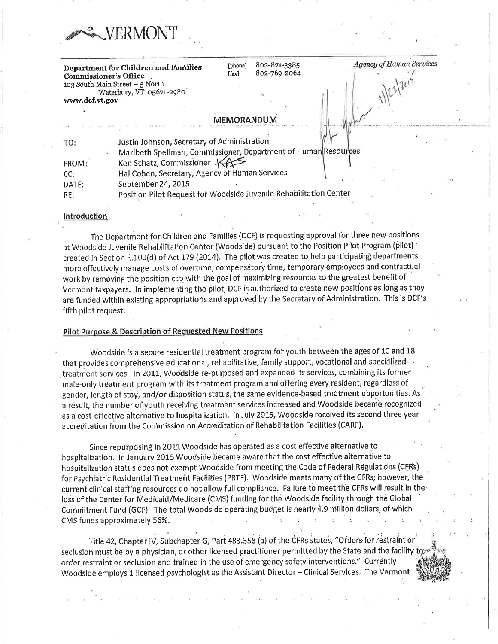| Department for Children and Families<br><b>Commissioner's Office</b><br>103 South Main Street - 5 North | [phone]<br>$[$ fax $]$ | 802-871-3385<br>802-769-2064 | Agency of Human Services |
|---------------------------------------------------------------------------------------------------------|------------------------|------------------------------|--------------------------|
| Waterbury, VT 05671-2980                                                                                |                        |                              |                          |
| www.dcf.vt.gov                                                                                          |                        |                              |                          |
|                                                                                                         |                        |                              |                          |
|                                                                                                         | MEMORANDUM             |                              |                          |
|                                                                                                         |                        |                              |                          |
| Justin Johnson, Secretary of Administration<br>TO:                                                      |                        |                              |                          |
| Maribeth Spellman, Commissioner, Department of Human Resources                                          |                        |                              |                          |
| Ken Schatz, Commissioner KA<br>FROM:                                                                    |                        |                              |                          |
| Hal Cohen, Secretary, Agency of Human Services<br>CC:                                                   |                        |                              |                          |

September 24, 2015 DATE:

ERMONT

Position Pilot Request for Woodside Juvenile Rehabilitation Center RE:

### Introduction

The Department for Children and Families (DCF) is requesting approval for three new positions at Woodside Juvenile Rehabilitation Center (Woodside) pursuant to the Position Pilot Program (pilot) created in Section E.100(d) of Act 179 (2014). The pilot was created to help participating departments more effectively manage costs of overtime, compensatory time, temporary employees and contractual work by removing the position cap with the goal of maximizing resources to the greatest benefit of Vermont taxpayers. In implementing the pilot, DCF is authorized to create new positions as long as they are funded within existing appropriations and approved by the Secretary of Administration. This is DCF's fifth pilot request.

### Pilot Purpose & Description of Requested New Positions

Woodside is a secure residential treatment program for youth between the ages of 10 and 18 that provides comprehensive educational, rehabilitative, family support, vocational and specialized treatment services. In 2011, Woodside re-purposed and expanded its services, combining its former male-only treatment program with its treatment program and offering every resident, regardless of gender, length of stay, and/or disposition status, the same evidence-based treatment opportunities. As a result, the number of youth receiving treatment services increased and Woodside became recognized as a cost-effective alternative to hospitalization. In July 2015, Woodside received its second three year accreditation from the Commission on Accreditation of Rehabilitation Facilities (CARF).

Since repurposing in 2011 Woodside has operated as a cost effective alternative to hospitalization. In January 2015 Woodside became aware that the cost effective alternative to hospitalization status does not exempt Woodside from meeting the Code of Federal Regulations (CFRs) for Psychiatric Residential Treatment Facilities (PRTF). Woodside meets many of the CFRs; however, the current clinical staffing resources do not allow full compliance. Failure to meet the CFRs will result in the loss of the Center for Medicaid/Medicare (CMS) funding for the Woodside facility through the Global Commitment Fund (GCF). The total Woodside operating budget is nearly 4.9 million dollars, of which CMS funds approximately 56%.

Title 42, Chapter IV, Subchapter G, Part 483.358 (a) of the CFRs states, "Orders for restraint or seclusion must be by a physician, or other licensed practitioner permitted by the State and the facility to order restraint or seclusion and trained in the use of emergency safety interventions." Currently Woodside employs 1 licensed psychologist as the Assistant Director - Clinical Services. The Vermont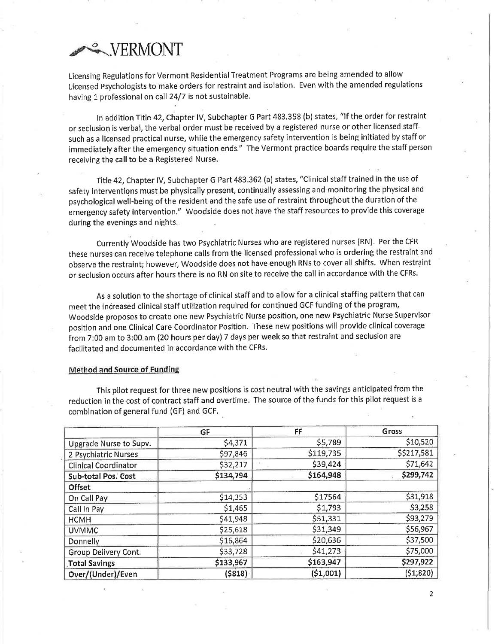# **WERMONT**

Licensing Regulations for Vermont Residential Treatment Programs are being amended to allow Licensed Psychologists to make orders for restraint and isolation. Even with the amended regulations having 1 professional on call 24/7 is not sustainable.

In addition Title 42, Chapter IV, Subchapter G Part 483.358 (b) states, "If the order for restraint or seclusion is verbal, the verbal order must be received by a registered nurse or other licensed staff. such as a licensed practical nurse, while the emergency safety intervention is being initiated by staff or immediately after the emergency situation ends." The Vermont practice boards require the staff person receiving the call to be a Registered Nurse.

Title 42, Chapter IV, Subchapter G Part 483.362 (a) states, "Clinical staff trained in the use of safety interventions must be physically present, continually assessing and monitoring the physical and psychological well-being of the resident and the safe use of restraint throughout the duration of the emergency safety intervention." Woodside does not have the staff resources to provide this coverage during the evenings and nights.

Currently Woodside has two Psychiatric Nurses who are registered nurses (RN). Per the CFR these nurses can receive telephone calls from the licensed professional who is ordering the restraint and observe the restraint; however, Woodside does not have enough RNs to cover all shifts. When restraint or seclusion occurs after hours there is no RN on site to receive the call in accordance with the CFRs.

As a solution to the shortage of clinical staff and to allow for a clinical staffing pattern that can meet the increased clinical staff utilization required for continued GCF funding of the program, Woodside proposes to create one new Psychiatric Nurse position, one new Psychiatric Nurse Supervisor position and one Clinical Care Coordinator Position. These new positions will provide clinical coverage from 7:00 am to 3:00 am (20 hours per day) 7 days per week so that restraint and seclusion are facilitated and documented in accordance with the CFRs.

#### **Method and Source of Funding**

This pilot request for three new positions is cost neutral with the savings anticipated from the reduction in the cost of contract staff and overtime. The source of the funds for this pilot request is a combination of general fund (GF) and GCF.

|                             | GF        | FF        | Gross       |
|-----------------------------|-----------|-----------|-------------|
| Upgrade Nurse to Supv.      | \$4,371   | \$5,789   | \$10,520    |
| 2 Psychiatric Nurses        | \$97,846  | \$119,735 | \$\$217,581 |
| <b>Clinical Coordinator</b> | \$32,217  | \$39,424  | \$71,642    |
| Sub-total Pos. Cost         | \$134,794 | \$164,948 | \$299,742   |
| <b>Offset</b>               |           |           |             |
| On Call Pay                 | \$14,353  | \$17564   | \$31,918    |
| Call In Pay                 | \$1,465   | \$1,793   | \$3,258     |
| <b>HCMH</b>                 | \$41,948  | \$51,331  | \$93,279    |
| <b>UVMMC</b>                | \$25,618  | \$31,349  | \$56,967    |
| <b>Donnelly</b>             | \$16,864  | \$20,636  | \$37,500    |
| Group Delivery Cont.        | \$33,728  | \$41,273  | \$75,000    |
| <b>Total Savings</b>        | \$133,967 | \$163,947 | \$297,922   |
| Over/(Under)/Even           | (5818)    | (51,001)  | (51, 820)   |

 $\overline{2}$